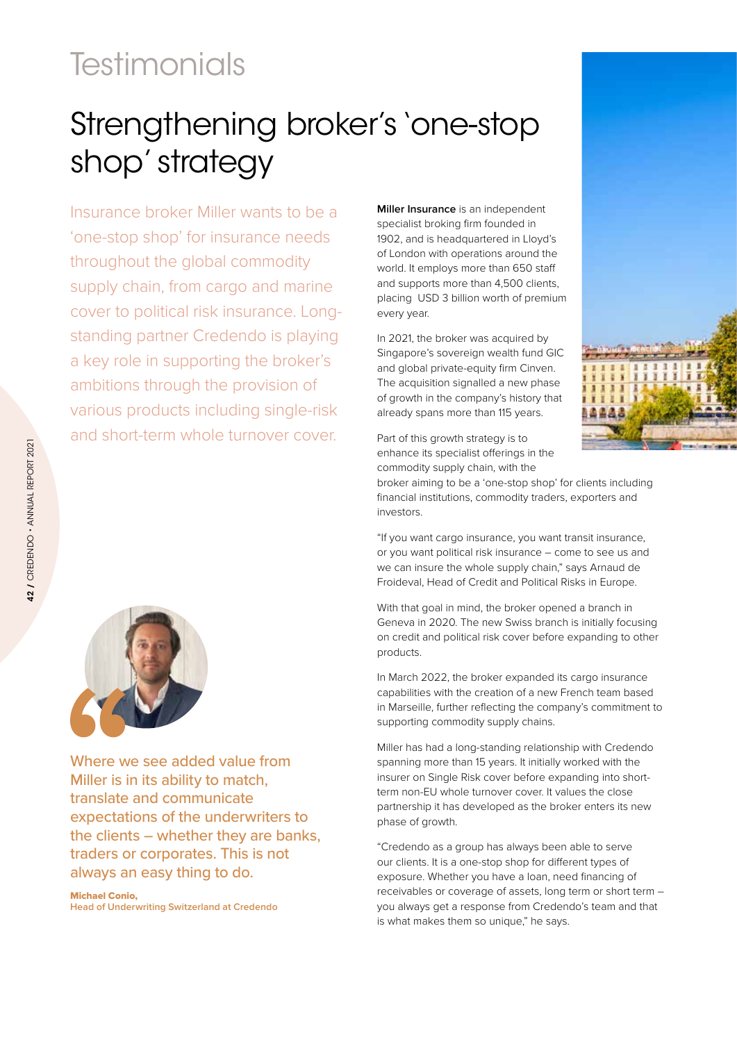## **Testimonials**

## Strengthening broker's 'one-stop shop' strategy

Insurance broker Miller wants to be a 'one-stop shop' for insurance needs throughout the global commodity supply chain, from cargo and marine cover to political risk insurance. Longstanding partner Credendo is playing a key role in supporting the broker's ambitions through the provision of various products including single-risk and short-term whole turnover cover.



Where we see added value from Miller is in its ability to match, translate and communicate expectations of the underwriters to the clients – whether they are banks, traders or corporates. This is not always an easy thing to do.

Michael Conio, **Head of Underwriting Switzerland at Credendo** **Miller Insurance** is an independent specialist broking firm founded in 1902, and is headquartered in Lloyd's of London with operations around the world. It employs more than 650 staff and supports more than 4,500 clients, placing USD 3 billion worth of premium every year.

In 2021, the broker was acquired by Singapore's sovereign wealth fund GIC and global private-equity firm Cinven. The acquisition signalled a new phase of growth in the company's history that already spans more than 115 years.

Part of this growth strategy is to enhance its specialist offerings in the commodity supply chain, with the

broker aiming to be a 'one-stop shop' for clients including financial institutions, commodity traders, exporters and investors.

"If you want cargo insurance, you want transit insurance, or you want political risk insurance – come to see us and we can insure the whole supply chain," says Arnaud de Froideval, Head of Credit and Political Risks in Europe.

With that goal in mind, the broker opened a branch in Geneva in 2020. The new Swiss branch is initially focusing on credit and political risk cover before expanding to other products.

In March 2022, the broker expanded its cargo insurance capabilities with the creation of a new French team based in Marseille, further reflecting the company's commitment to supporting commodity supply chains.

Miller has had a long-standing relationship with Credendo spanning more than 15 years. It initially worked with the insurer on Single Risk cover before expanding into shortterm non-EU whole turnover cover. It values the close partnership it has developed as the broker enters its new phase of growth.

"Credendo as a group has always been able to serve our clients. It is a one-stop shop for different types of exposure. Whether you have a loan, need financing of receivables or coverage of assets, long term or short term – you always get a response from Credendo's team and that is what makes them so unique," he says.